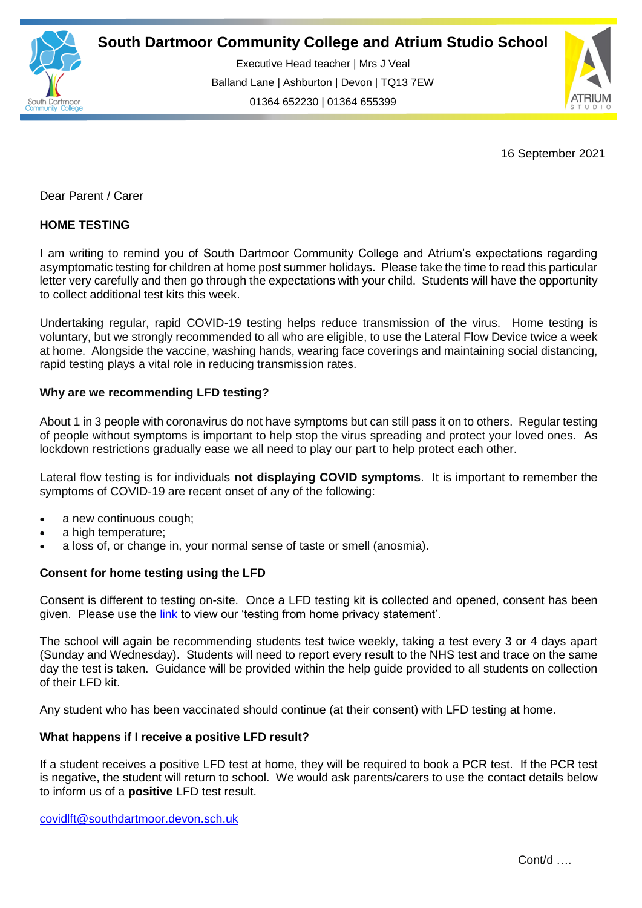

Executive Head teacher | Mrs J Veal Balland Lane | Ashburton | Devon | TQ13 7EW 01364 652230 | 01364 655399

ww.south.uk | [www.atrium-studio.co.uk](http://www.atrium-studio.co.uk/) | www.atrium-studio.co.uk



16 September 2021

Dear Parent / Carer

## **HOME TESTING**

I am writing to remind you of South Dartmoor Community College and Atrium's expectations regarding asymptomatic testing for children at home post summer holidays. Please take the time to read this particular letter very carefully and then go through the expectations with your child. Students will have the opportunity to collect additional test kits this week.

Undertaking regular, rapid COVID-19 testing helps reduce transmission of the virus. Home testing is voluntary, but we strongly recommended to all who are eligible, to use the Lateral Flow Device twice a week at home. Alongside the vaccine, washing hands, wearing face coverings and maintaining social distancing, rapid testing plays a vital role in reducing transmission rates.

## **Why are we recommending LFD testing?**

About 1 in 3 people with coronavirus do not have symptoms but can still pass it on to others. Regular testing of people without symptoms is important to help stop the virus spreading and protect your loved ones. As lockdown restrictions gradually ease we all need to play our part to help protect each other.

Lateral flow testing is for individuals **not displaying COVID symptoms**. It is important to remember the symptoms of COVID-19 are recent onset of any of the following:

- a new continuous cough;
- a high temperature:
- a loss of, or change in, your normal sense of taste or smell (anosmia).

## **Consent for home testing using the LFD**

Consent is different to testing on-site. Once a LFD testing kit is collected and opened, consent has been given. Please use the [link](https://www.southdartmoor.devon.sch.uk/news/?pid=24&nid=3&storyid=177) to view our 'testing from home privacy statement'.

The school will again be recommending students test twice weekly, taking a test every 3 or 4 days apart (Sunday and Wednesday). Students will need to report every result to the NHS test and trace on the same day the test is taken. Guidance will be provided within the help guide provided to all students on collection of their LFD kit.

Any student who has been vaccinated should continue (at their consent) with LFD testing at home.

## **What happens if I receive a positive LFD result?**

If a student receives a positive LFD test at home, they will be required to book a PCR test. If the PCR test is negative, the student will return to school. We would ask parents/carers to use the contact details below to inform us of a **positive** LFD test result.

[covidlft@southdartmoor.devon.sch.uk](mailto:covidlft@southdartmoor.devon.sch.uk)